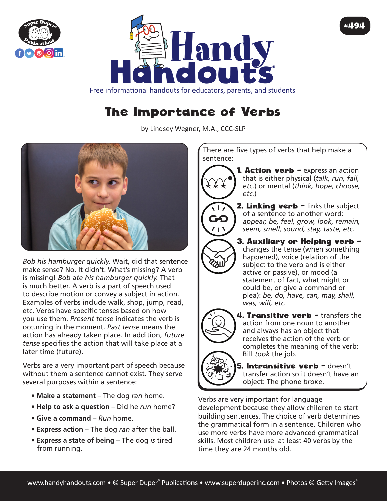



## #494

Free informational handouts for educators, parents, and students

## The Importance of Verbs

by Lindsey Wegner, M.A., CCC-SLP



*Bob his hamburger quickly.* Wait, did that sentence make sense? No. It didn't. What's missing? A verb is missing! *Bob ate his hamburger quickly.* That is much better. A verb is a part of speech used to describe motion or convey a subject in action. Examples of verbs include walk, shop, jump, read, etc. Verbs have specific tenses based on how you use them. *Present tense* indicates the verb is occurring in the moment. *Past tense* means the action has already taken place. In addition, *future tense* specifies the action that will take place at a later time (future).

Verbs are a very important part of speech because without them a sentence cannot exist. They serve several purposes within a sentence:

- **Make a statement** The dog *ran* home.
- **Help to ask a question** Did he *run* home?
- **Give a command** *Run* home.
- **Express action** The dog *ran* after the ball.
- **Express a state of being** The dog *is* tired from running.

There are five types of verbs that help make a sentence:



**2. Linking verb - links the subject** of a sentence to another word: *appear, be, feel, grow, look, remain, seem, smell, sound, stay, taste, etc.*

3. Auxiliary or Helping verb – changes the tense (when something happened), voice (relation of the subject to the verb and is either active or passive), or mood (a statement of fact, what might or could be, or give a command or plea): *be, do, have, can, may, shall, was, will, etc.*



**RAU** 

4. Transitive verb - transfers the action from one noun to another and always has an object that receives the action of the verb or completes the meaning of the verb: Bill *took* the job.

5. Intransitive verb - doesn't transfer action so it doesn't have an object: The phone *broke*.

Verbs are very important for language development because they allow children to start building sentences. The choice of verb determines the grammatical form in a sentence. Children who use more verbs have more advanced grammatical skills. Most children use at least 40 verbs by the time they are 24 months old.